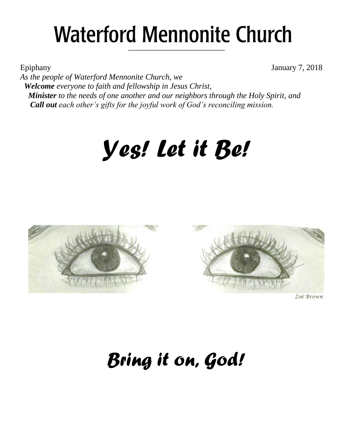## **Waterford Mennonite Church** \_\_\_\_\_\_\_\_\_\_\_\_\_\_\_\_\_\_\_\_\_\_\_\_

Epiphany January 7, 2018

*As the people of Waterford Mennonite Church, we Welcome everyone to faith and fellowship in Jesus Christ, Minister to the needs of one another and our neighbors through the Holy Spirit, and Call out each other's gifts for the joyful work of God's reconciling mission.*

# *Yes! Let it Be!*





*Zoë Brown*

## *Bring it on, God!*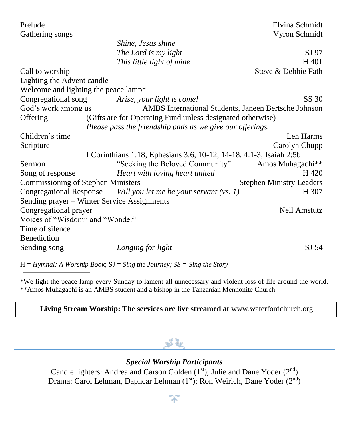| Prelude                                                                     | Elvina Schmidt                  |  |  |  |
|-----------------------------------------------------------------------------|---------------------------------|--|--|--|
| Gathering songs                                                             | Vyron Schmidt                   |  |  |  |
| Shine, Jesus shine                                                          |                                 |  |  |  |
| The Lord is my light                                                        | SJ 97                           |  |  |  |
| This little light of mine                                                   | H 401                           |  |  |  |
| Call to worship                                                             | Steve & Debbie Fath             |  |  |  |
| Lighting the Advent candle                                                  |                                 |  |  |  |
| Welcome and lighting the peace lamp*                                        |                                 |  |  |  |
| Congregational song<br>Arise, your light is come!                           | SS 30                           |  |  |  |
| God's work among us<br>AMBS International Students, Janeen Bertsche Johnson |                                 |  |  |  |
| (Gifts are for Operating Fund unless designated otherwise)<br>Offering      |                                 |  |  |  |
| Please pass the friendship pads as we give our offerings.                   |                                 |  |  |  |
| Children's time                                                             | Len Harms                       |  |  |  |
| Scripture                                                                   | Carolyn Chupp                   |  |  |  |
| I Corinthians 1:18; Ephesians 3:6, 10-12, 14-18, 4:1-3; Isaiah 2:5b         |                                 |  |  |  |
| "Seeking the Beloved Community"<br>Sermon                                   | Amos Muhagachi**                |  |  |  |
| Heart with loving heart united<br>Song of response                          | H 420                           |  |  |  |
| <b>Commissioning of Stephen Ministers</b>                                   | <b>Stephen Ministry Leaders</b> |  |  |  |
| Congregational Response Will you let me be your servant (vs. 1)             | H 307                           |  |  |  |
| Sending prayer - Winter Service Assignments                                 |                                 |  |  |  |
| Congregational prayer                                                       | Neil Amstutz                    |  |  |  |
| Voices of "Wisdom" and "Wonder"                                             |                                 |  |  |  |
| Time of silence                                                             |                                 |  |  |  |
| Benediction                                                                 |                                 |  |  |  |
| Sending song<br>Longing for light                                           | SJ 54                           |  |  |  |

H = *Hymnal: A Worship Book*; SJ = *Sing the Journey; SS = Sing the Story*

\*We light the peace lamp every Sunday to lament all unnecessary and violent loss of life around the world. \*\*Amos Muhagachi is an AMBS student and a bishop in the Tanzanian Mennonite Church.

#### **Living Stream Worship: The services are live streamed at** [www.waterfordchurch.org](http://www.waterfordchurch.org/)

#### *Special Worship Participants*

Candle lighters: Andrea and Carson Golden  $(1<sup>st</sup>)$ ; Julie and Dane Yoder  $(2<sup>nd</sup>)$ Drama: Carol Lehman, Daphcar Lehman (1st); Ron Weirich, Dane Yoder (2<sup>nd</sup>)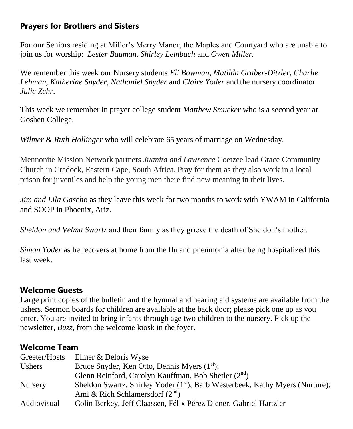#### **Prayers for Brothers and Sisters**

For our Seniors residing at Miller's Merry Manor, the Maples and Courtyard who are unable to join us for worship: *Lester Bauman, Shirley Leinbach* and *Owen Miller.*

We remember this week our Nursery students *Eli Bowman, Matilda Graber-Ditzler, Charlie Lehman, Katherine Snyder, Nathaniel Snyder* and *Claire Yoder* and the nursery coordinator *Julie Zehr*.

This week we remember in prayer college student *Matthew Smucker* who is a second year at Goshen College.

*Wilmer & Ruth Hollinger* who will celebrate 65 years of marriage on Wednesday.

Mennonite Mission Network partners *Juanita and Lawrence* Coetzee lead Grace Community Church in Cradock, Eastern Cape, South Africa. Pray for them as they also work in a local prison for juveniles and help the young men there find new meaning in their lives.

*Jim and Lila Gasch*o as they leave this week for two months to work with YWAM in California and SOOP in Phoenix, Ariz.

*Sheldon and Velma Swartz* and their family as they grieve the death of Sheldon's mother.

*Simon Yoder* as he recovers at home from the flu and pneumonia after being hospitalized this last week.

#### **Welcome Guests**

Large print copies of the bulletin and the hymnal and hearing aid systems are available from the ushers. Sermon boards for children are available at the back door; please pick one up as you enter. You are invited to bring infants through age two children to the nursery. Pick up the newsletter, *Buzz,* from the welcome kiosk in the foyer.

#### **Welcome Team**

| Greeter/Hosts      | Elmer & Deloris Wyse                                                                      |
|--------------------|-------------------------------------------------------------------------------------------|
| Ushers             | Bruce Snyder, Ken Otto, Dennis Myers (1 <sup>st</sup> );                                  |
|                    | Glenn Reinford, Carolyn Kauffman, Bob Shetler $(2^{nd})$                                  |
| <b>Nursery</b>     | Sheldon Swartz, Shirley Yoder (1 <sup>st</sup> ); Barb Westerbeek, Kathy Myers (Nurture); |
|                    | Ami & Rich Schlamersdorf $(2nd)$                                                          |
| <b>Audiovisual</b> | Colin Berkey, Jeff Claassen, Félix Pérez Diener, Gabriel Hartzler                         |